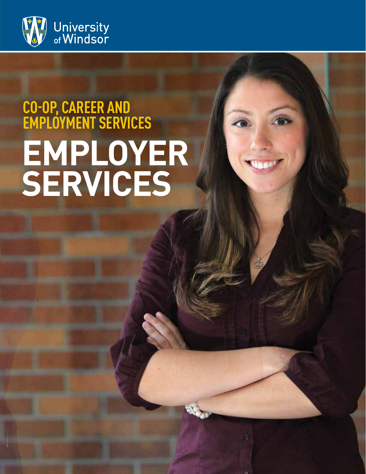

# **CO-OP, CAREER AND EMPLOYMENT SERVICES EMPLOYER SERVICES**

C.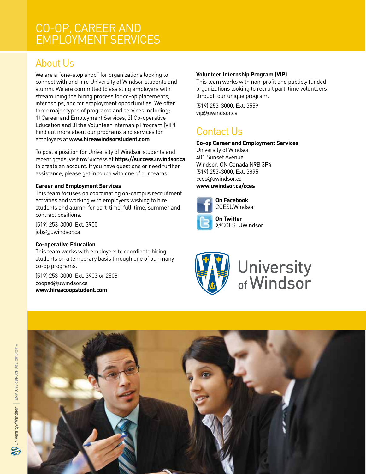### CO-OP, CAREER AND EMPLOYMENT SERVICES

# About Us

We are a "one-stop shop" for organizations looking to connect with and hire University of Windsor students and alumni. We are committed to assisting employers with streamlining the hiring process for co-op placements, internships, and for employment opportunities. We offer three major types of programs and services including; 1) Career and Employment Services, 2) Co-operative Education and 3) the Volunteer Internship Program (VIP). Find out more about our programs and services for employers at **www.hireawindsorstudent.com**

To post a position for University of Windsor students and recent grads, visit mySuccess at **https://success.uwindsor.ca** to create an account. If you have questions or need further assistance, please get in touch with one of our teams:

#### **Career and Employment Services**

This team focuses on coordinating on-campus recruitment activities and working with employers wishing to hire students and alumni for part-time, full-time, summer and contract positions.

(519) 253-3000, Ext. 3900 jobs@uwindsor.ca

#### **Co-operative Education**

This team works with employers to coordinate hiring students on a temporary basis through one of our many co-op programs.

(519) 253-3000, Ext. 3903 or 2508 cooped@uwindsor.ca **www.hireacoopstudent.com** 

#### **Volunteer Internship Program (VIP)**

This team works with non-profit and publicly funded organizations looking to recruit part-time volunteers through our unique program.

(519) 253-3000, Ext. 3559 vip@uwindsor.ca

# Contact Us

#### **Co-op Career and Employment Services**

University of Windsor 401 Sunset Avenue Windsor, ON Canada N9B 3P4 (519) 253-3000, Ext. 3895 cces@uwindsor.ca **www.uwindsor.ca/cces**



**On Facebook CCESUWindsor** 



**On Twitter**  @CCES\_UWindsor



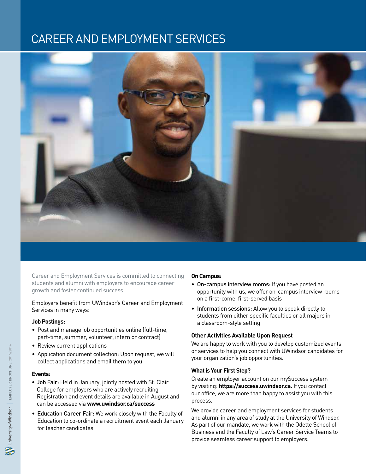# CAREER AND EMPLOYMENT SERVICES



Career and Employment Services is committed to connecting students and alumni with employers to encourage career growth and foster continued success.

#### Employers benefit from UWindsor's Career and Employment Services in many ways:

#### **Job Postings:**

- Post and manage job opportunities online (full-time, part-time, summer, volunteer, intern or contract)
- Review current applications
- Application document collection: Upon request, we will collect applications and email them to you

#### **Events:**

- Job Fair: Held in January, jointly hosted with St. Clair College for employers who are actively recruiting Registration and event details are available in August and can be accessed via **www.uwindsor.ca/success**
- Education Career Fair: We work closely with the Faculty of Education to co-ordinate a recruitment event each January for teacher candidates

#### **On Campus:**

- On-campus interview rooms: If you have posted an opportunity with us, we offer on-campus interview rooms on a first-come, first-served basis
- Information sessions: Allow you to speak directly to students from either specific faculties or all majors in a classroom-style setting

#### **Other Activities Available Upon Request**

We are happy to work with you to develop customized events or services to help you connect with UWindsor candidates for your organization's job opportunities.

#### **What is Your First Step?**

Create an employer account on our mySuccess system by visiting: **https://success.uwindsor.ca.** If you contact our office, we are more than happy to assist you with this process.

We provide career and employment services for students and alumni in any area of study at the University of Windsor. As part of our mandate, we work with the Odette School of Business and the Faculty of Law's Career Service Teams to provide seamless career support to employers.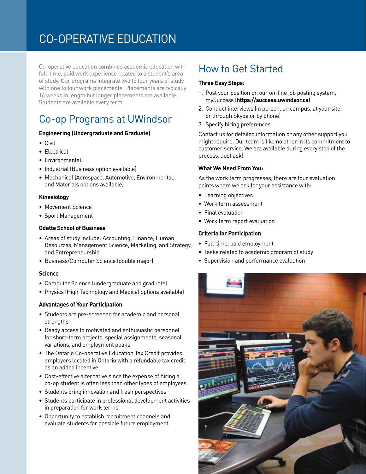# CO-OPERATIVE EDUCATION

Co-operative education combines academic education with full-time, paid work experience related to a student's area of study. Our programs integrate two to four years of study with one to four work placements. Placements are typically 16 weeks in length but longer placements are available. Students are available every term.

# Co-op Programs at UWindsor

#### **Engineering (Undergraduate and Graduate)**

- Civil
- Electrical
- Environmental
- Industrial (Business option available)
- Mechanical (Aerospace, Automotive, Environmental, and Materials options available)

#### **Kinesiology**

- Movement Science
- Sport Management

#### **Odette School of Business**

- Areas of study include: Accounting, Finance, Human Resources, Management Science, Marketing, and Strategy and Entrepreneurship
- Business/Computer Science (double major)

#### **Science**

- Computer Science (undergraduate and graduate)
- Physics (High Technology and Medical options available)

#### **Advantages of Your Participation**

- Students are pre-screened for academic and personal strengths
- Ready access to motivated and enthusiastic personnel for short-term projects, special assignments, seasonal variations, and employment peaks
- The Ontario Co-operative Education Tax Credit provides employers located in Ontario with a refundable tax credit as an added incentive
- Cost-effective alternative since the expense of hiring a co-op student is often less than other types of employees
- Students bring innovation and fresh perspectives
- Students participate in professional development activities in preparation for work terms
- Opportunity to establish recruitment channels and evaluate students for possible future employment

### How to Get Started

#### **Three Easy Steps:**

- 1. Post your position on our on-line job posting system, mySuccess (**https://success.uwindsor.ca**)
- 2. Conduct interviews (in person, on campus, at your site, or through Skype or by phone)
- 3. Specify hiring preferences

Contact us for detailed information or any other support you might require. Our team is like no other in its commitment to customer service. We are available during every step of the process. Just ask!

#### **What We Need From You:**

As the work term progresses, there are four evaluation points where we ask for your assistance with:

- Learning objectives
- Work term assessment
- Final evaluation
- Work term report evaluation

#### **Criteria for Participation**

- Full-time, paid employment
- Tasks related to academic program of study
- Supervision and performance evaluation

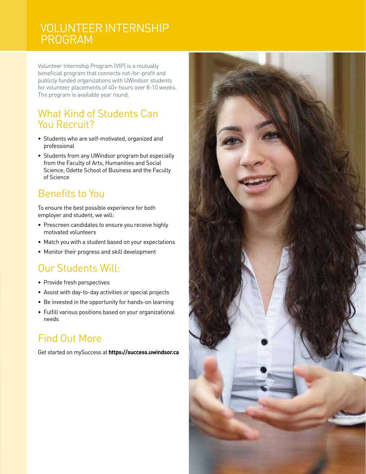### VOLUNTEER INTERNSHIP PROGRAM

Volunteer Internship Program (VIP) is a mutually beneficial program that connects not-for-profit and publicly funded organizations with UWindsor students for volunteer placements of 40+ hours over 8-10 weeks. The program is available year round.

### What Kind of Students Can You Recruit?

- Students who are self-motivated, organized and professional
- Students from any UWindsor program but especially from the Faculty of Arts, Humanities and Social Science; Odette School of Business and the Faculty of Science

### Benefits to You

To ensure the best possible experience for both employer and student, we will:

- Prescreen candidates to ensure you receive highly motivated volunteers
- Match you with a student based on your expectations
- Monitor their progress and skill development

### Our Students Will:

- Provide fresh perspectives
- Assist with day-to-day activities or special projects
- Be invested in the opportunity for hands-on learning
- Fulfill various positions based on your organizational needs

# Find Out More

Get started on mySuccess at **https://success.uwindsor.ca**